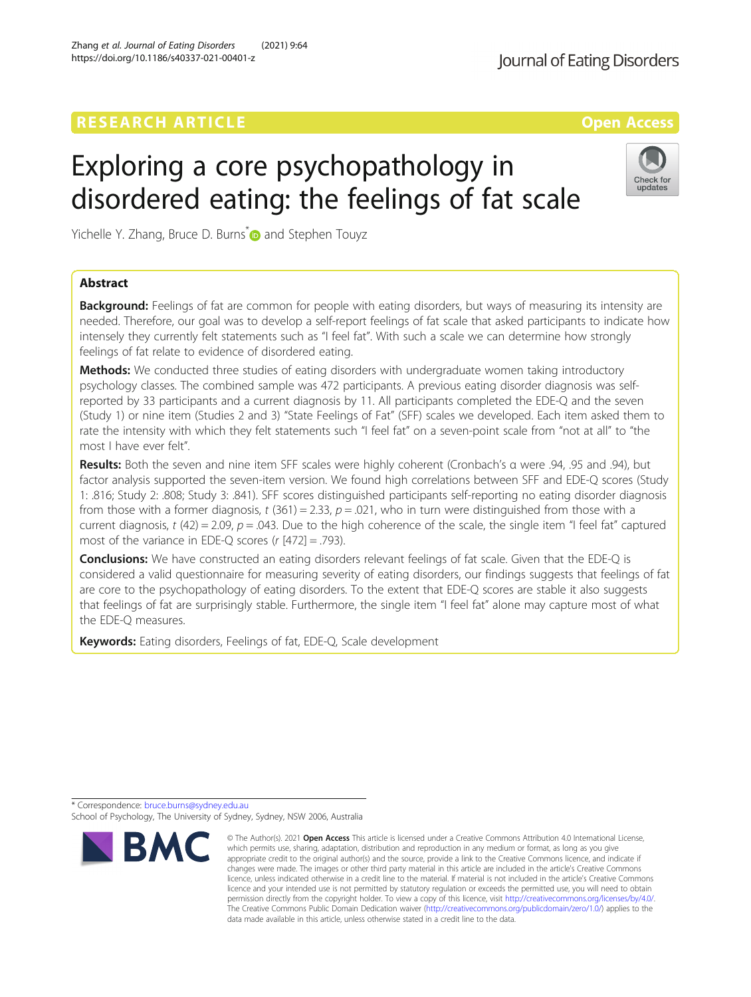## **RESEARCH ARTICLE External Structure Control Control Control Control Control Control Control Control Control Control Control Control Control Control Control Control Control Control Control Control Control Control Control**

# Exploring a core psychopathology in disordered eating: the feelings of fat scale

Yichelle Y. Zhang, Bruce D. Burns **and Stephen Touyz** 

## Abstract

**Background:** Feelings of fat are common for people with eating disorders, but ways of measuring its intensity are needed. Therefore, our goal was to develop a self-report feelings of fat scale that asked participants to indicate how intensely they currently felt statements such as "I feel fat". With such a scale we can determine how strongly feelings of fat relate to evidence of disordered eating.

Methods: We conducted three studies of eating disorders with undergraduate women taking introductory psychology classes. The combined sample was 472 participants. A previous eating disorder diagnosis was selfreported by 33 participants and a current diagnosis by 11. All participants completed the EDE-Q and the seven (Study 1) or nine item (Studies 2 and 3) "State Feelings of Fat" (SFF) scales we developed. Each item asked them to rate the intensity with which they felt statements such "I feel fat" on a seven-point scale from "not at all" to "the most I have ever felt".

Results: Both the seven and nine item SFF scales were highly coherent (Cronbach's α were .94, .95 and .94), but factor analysis supported the seven-item version. We found high correlations between SFF and EDE-Q scores (Study 1: .816; Study 2: .808; Study 3: .841). SFF scores distinguished participants self-reporting no eating disorder diagnosis from those with a former diagnosis, t (361) = 2.33,  $p = .021$ , who in turn were distinguished from those with a current diagnosis,  $t$  (42) = 2.09,  $p$  = .043. Due to the high coherence of the scale, the single item "I feel fat" captured most of the variance in EDE-Q scores ( $r$  [472] = .793).

**Conclusions:** We have constructed an eating disorders relevant feelings of fat scale. Given that the EDE-Q is considered a valid questionnaire for measuring severity of eating disorders, our findings suggests that feelings of fat are core to the psychopathology of eating disorders. To the extent that EDE-Q scores are stable it also suggests that feelings of fat are surprisingly stable. Furthermore, the single item "I feel fat" alone may capture most of what the EDE-Q measures.

© The Author(s), 2021 **Open Access** This article is licensed under a Creative Commons Attribution 4.0 International License,

Keywords: Eating disorders, Feelings of fat, EDE-Q, Scale development

\* Correspondence: [bruce.burns@sydney.edu.au](mailto:bruce.burns@sydney.edu.au)

School of Psychology, The University of Sydney, Sydney, NSW 2006, Australia

Zhang et al. Journal of Eating Disorders (2021) 9:64



data made available in this article, unless otherwise stated in a credit line to the data.



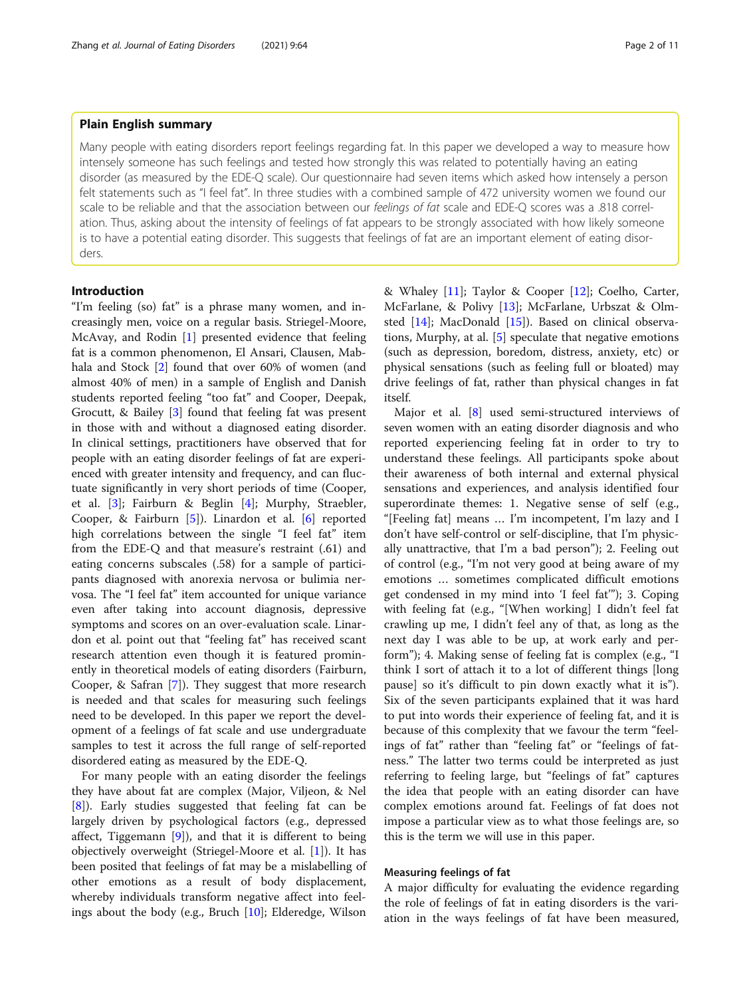#### Zhang et al. Journal of Eating Disorders (2021) 9:64 Page 2 of 11

## Plain English summary

Many people with eating disorders report feelings regarding fat. In this paper we developed a way to measure how intensely someone has such feelings and tested how strongly this was related to potentially having an eating disorder (as measured by the EDE-Q scale). Our questionnaire had seven items which asked how intensely a person felt statements such as "I feel fat". In three studies with a combined sample of 472 university women we found our scale to be reliable and that the association between our feelings of fat scale and EDE-Q scores was a .818 correlation. Thus, asking about the intensity of feelings of fat appears to be strongly associated with how likely someone is to have a potential eating disorder. This suggests that feelings of fat are an important element of eating disorders.

## Introduction

"I'm feeling (so) fat" is a phrase many women, and increasingly men, voice on a regular basis. Striegel-Moore, McAvay, and Rodin [[1\]](#page-9-0) presented evidence that feeling fat is a common phenomenon, El Ansari, Clausen, Mabhala and Stock [[2](#page-9-0)] found that over 60% of women (and almost 40% of men) in a sample of English and Danish students reported feeling "too fat" and Cooper, Deepak, Grocutt, & Bailey [[3\]](#page-9-0) found that feeling fat was present in those with and without a diagnosed eating disorder. In clinical settings, practitioners have observed that for people with an eating disorder feelings of fat are experienced with greater intensity and frequency, and can fluctuate significantly in very short periods of time (Cooper, et al. [[3\]](#page-9-0); Fairburn & Beglin [\[4](#page-9-0)]; Murphy, Straebler, Cooper, & Fairburn [[5](#page-9-0)]). Linardon et al. [\[6](#page-9-0)] reported high correlations between the single "I feel fat" item from the EDE-Q and that measure's restraint (.61) and eating concerns subscales (.58) for a sample of participants diagnosed with anorexia nervosa or bulimia nervosa. The "I feel fat" item accounted for unique variance even after taking into account diagnosis, depressive symptoms and scores on an over-evaluation scale. Linardon et al. point out that "feeling fat" has received scant research attention even though it is featured prominently in theoretical models of eating disorders (Fairburn, Cooper, & Safran [\[7](#page-9-0)]). They suggest that more research is needed and that scales for measuring such feelings need to be developed. In this paper we report the development of a feelings of fat scale and use undergraduate samples to test it across the full range of self-reported disordered eating as measured by the EDE-Q.

For many people with an eating disorder the feelings they have about fat are complex (Major, Viljeon, & Nel [[8\]](#page-9-0)). Early studies suggested that feeling fat can be largely driven by psychological factors (e.g., depressed affect, Tiggemann  $[9]$  $[9]$ ), and that it is different to being objectively overweight (Striegel-Moore et al. [\[1](#page-9-0)]). It has been posited that feelings of fat may be a mislabelling of other emotions as a result of body displacement, whereby individuals transform negative affect into feelings about the body (e.g., Bruch [[10\]](#page-9-0); Elderedge, Wilson & Whaley [[11\]](#page-9-0); Taylor & Cooper [\[12\]](#page-9-0); Coelho, Carter, McFarlane, & Polivy [[13\]](#page-9-0); McFarlane, Urbszat & Olmsted [\[14\]](#page-9-0); MacDonald [\[15](#page-10-0)]). Based on clinical observations, Murphy, at al. [[5\]](#page-9-0) speculate that negative emotions (such as depression, boredom, distress, anxiety, etc) or physical sensations (such as feeling full or bloated) may drive feelings of fat, rather than physical changes in fat itself.

Major et al. [[8\]](#page-9-0) used semi-structured interviews of seven women with an eating disorder diagnosis and who reported experiencing feeling fat in order to try to understand these feelings. All participants spoke about their awareness of both internal and external physical sensations and experiences, and analysis identified four superordinate themes: 1. Negative sense of self (e.g., "[Feeling fat] means … I'm incompetent, I'm lazy and I don't have self-control or self-discipline, that I'm physically unattractive, that I'm a bad person"); 2. Feeling out of control (e.g., "I'm not very good at being aware of my emotions … sometimes complicated difficult emotions get condensed in my mind into 'I feel fat'"); 3. Coping with feeling fat (e.g., "[When working] I didn't feel fat crawling up me, I didn't feel any of that, as long as the next day I was able to be up, at work early and perform"); 4. Making sense of feeling fat is complex (e.g., "I think I sort of attach it to a lot of different things [long pause] so it's difficult to pin down exactly what it is"). Six of the seven participants explained that it was hard to put into words their experience of feeling fat, and it is because of this complexity that we favour the term "feelings of fat" rather than "feeling fat" or "feelings of fatness." The latter two terms could be interpreted as just referring to feeling large, but "feelings of fat" captures the idea that people with an eating disorder can have complex emotions around fat. Feelings of fat does not impose a particular view as to what those feelings are, so this is the term we will use in this paper.

## Measuring feelings of fat

A major difficulty for evaluating the evidence regarding the role of feelings of fat in eating disorders is the variation in the ways feelings of fat have been measured,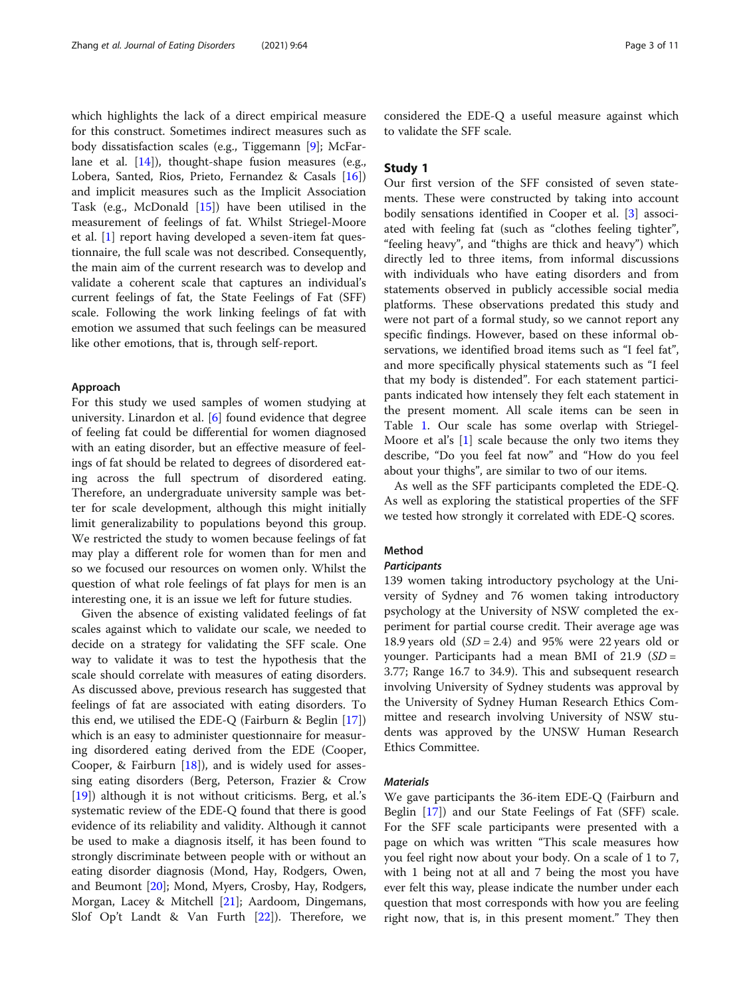which highlights the lack of a direct empirical measure for this construct. Sometimes indirect measures such as body dissatisfaction scales (e.g., Tiggemann [[9\]](#page-9-0); McFarlane et al. [[14\]](#page-9-0)), thought-shape fusion measures (e.g., Lobera, Santed, Rios, Prieto, Fernandez & Casals [\[16](#page-10-0)]) and implicit measures such as the Implicit Association Task (e.g., McDonald [\[15](#page-10-0)]) have been utilised in the measurement of feelings of fat. Whilst Striegel-Moore et al. [\[1](#page-9-0)] report having developed a seven-item fat questionnaire, the full scale was not described. Consequently, the main aim of the current research was to develop and validate a coherent scale that captures an individual's current feelings of fat, the State Feelings of Fat (SFF) scale. Following the work linking feelings of fat with emotion we assumed that such feelings can be measured like other emotions, that is, through self-report.

#### Approach

For this study we used samples of women studying at university. Linardon et al. [\[6](#page-9-0)] found evidence that degree of feeling fat could be differential for women diagnosed with an eating disorder, but an effective measure of feelings of fat should be related to degrees of disordered eating across the full spectrum of disordered eating. Therefore, an undergraduate university sample was better for scale development, although this might initially limit generalizability to populations beyond this group. We restricted the study to women because feelings of fat may play a different role for women than for men and so we focused our resources on women only. Whilst the question of what role feelings of fat plays for men is an interesting one, it is an issue we left for future studies.

Given the absence of existing validated feelings of fat scales against which to validate our scale, we needed to decide on a strategy for validating the SFF scale. One way to validate it was to test the hypothesis that the scale should correlate with measures of eating disorders. As discussed above, previous research has suggested that feelings of fat are associated with eating disorders. To this end, we utilised the EDE-Q (Fairburn & Beglin [\[17](#page-10-0)]) which is an easy to administer questionnaire for measuring disordered eating derived from the EDE (Cooper, Cooper, & Fairburn [[18](#page-10-0)]), and is widely used for assessing eating disorders (Berg, Peterson, Frazier & Crow [[19\]](#page-10-0)) although it is not without criticisms. Berg, et al.'s systematic review of the EDE-Q found that there is good evidence of its reliability and validity. Although it cannot be used to make a diagnosis itself, it has been found to strongly discriminate between people with or without an eating disorder diagnosis (Mond, Hay, Rodgers, Owen, and Beumont [\[20](#page-10-0)]; Mond, Myers, Crosby, Hay, Rodgers, Morgan, Lacey & Mitchell [\[21](#page-10-0)]; Aardoom, Dingemans, Slof Op't Landt & Van Furth [[22\]](#page-10-0)). Therefore, we considered the EDE-Q a useful measure against which to validate the SFF scale.

## Study 1

Our first version of the SFF consisted of seven statements. These were constructed by taking into account bodily sensations identified in Cooper et al. [[3](#page-9-0)] associated with feeling fat (such as "clothes feeling tighter", "feeling heavy", and "thighs are thick and heavy") which directly led to three items, from informal discussions with individuals who have eating disorders and from statements observed in publicly accessible social media platforms. These observations predated this study and were not part of a formal study, so we cannot report any specific findings. However, based on these informal observations, we identified broad items such as "I feel fat", and more specifically physical statements such as "I feel that my body is distended". For each statement participants indicated how intensely they felt each statement in the present moment. All scale items can be seen in Table [1.](#page-3-0) Our scale has some overlap with Striegel-Moore et al's [\[1](#page-9-0)] scale because the only two items they describe, "Do you feel fat now" and "How do you feel about your thighs", are similar to two of our items.

As well as the SFF participants completed the EDE-Q. As well as exploring the statistical properties of the SFF we tested how strongly it correlated with EDE-Q scores.

## Method

## **Participants**

139 women taking introductory psychology at the University of Sydney and 76 women taking introductory psychology at the University of NSW completed the experiment for partial course credit. Their average age was 18.9 years old  $(SD = 2.4)$  and 95% were 22 years old or younger. Participants had a mean BMI of  $21.9$  (SD = 3.77; Range 16.7 to 34.9). This and subsequent research involving University of Sydney students was approval by the University of Sydney Human Research Ethics Committee and research involving University of NSW students was approved by the UNSW Human Research Ethics Committee.

## **Materials**

We gave participants the 36-item EDE-Q (Fairburn and Beglin [\[17\]](#page-10-0)) and our State Feelings of Fat (SFF) scale. For the SFF scale participants were presented with a page on which was written "This scale measures how you feel right now about your body. On a scale of 1 to 7, with 1 being not at all and 7 being the most you have ever felt this way, please indicate the number under each question that most corresponds with how you are feeling right now, that is, in this present moment." They then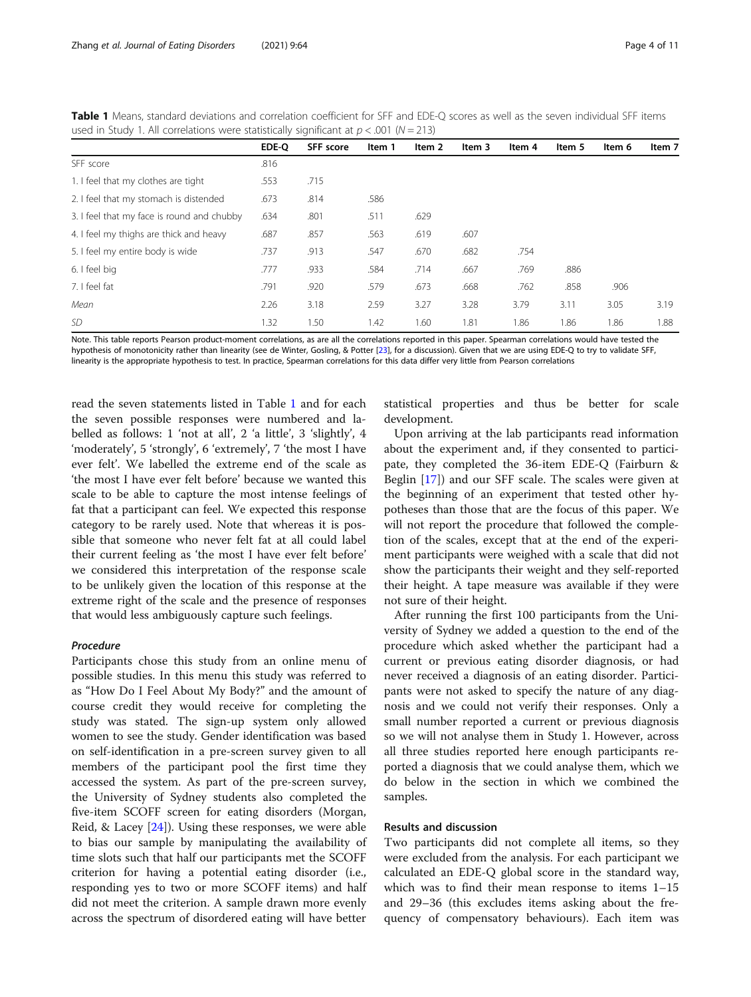|                                                                                                                                                               | EDE-O | SFF score | Item 1 | Item 2 | Item 3 | Item 4 | Item 5 | Item 6 | Item 7 |
|---------------------------------------------------------------------------------------------------------------------------------------------------------------|-------|-----------|--------|--------|--------|--------|--------|--------|--------|
| SFF score                                                                                                                                                     | .816  |           |        |        |        |        |        |        |        |
| 1. I feel that my clothes are tight                                                                                                                           | .553  | .715      |        |        |        |        |        |        |        |
| 2. I feel that my stomach is distended                                                                                                                        | .673  | .814      | .586   |        |        |        |        |        |        |
| 3. I feel that my face is round and chubby                                                                                                                    | .634  | .801      | .511   | .629   |        |        |        |        |        |
| 4. I feel my thighs are thick and heavy                                                                                                                       | .687  | .857      | .563   | .619   | .607   |        |        |        |        |
| 5. I feel my entire body is wide                                                                                                                              | .737  | .913      | .547   | .670   | .682   | .754   |        |        |        |
| 6. I feel big                                                                                                                                                 | .777  | .933      | .584   | .714   | .667   | .769   | .886   |        |        |
| 7. I feel fat                                                                                                                                                 | .791  | .920      | .579   | .673   | .668   | .762   | .858   | .906   |        |
| Mean                                                                                                                                                          | 2.26  | 3.18      | 2.59   | 3.27   | 3.28   | 3.79   | 3.11   | 3.05   | 3.19   |
| <i>SD</i>                                                                                                                                                     | 1.32  | 1.50      | 1.42   | 1.60   | 1.81   | 1.86   | 1.86   | 1.86   | 1.88   |
| Note. This table reports Pearson product-moment correlations, as are all the correlations reported in this paper. Spearman correlations would have tested the |       |           |        |        |        |        |        |        |        |

<span id="page-3-0"></span>Table 1 Means, standard deviations and correlation coefficient for SFF and EDE-Q scores as well as the seven individual SFF items used in Study 1. All correlations were statistically significant at  $p < .001$  (N = 213)

hypothesis of monotonicity rather than linearity (see de Winter, Gosling, & Potter [\[23\]](#page-10-0), for a discussion). Given that we are using EDE-Q to try to validate SFF, linearity is the appropriate hypothesis to test. In practice, Spearman correlations for this data differ very little from Pearson correlations

read the seven statements listed in Table 1 and for each the seven possible responses were numbered and labelled as follows: 1 'not at all', 2 'a little', 3 'slightly', 4 'moderately', 5 'strongly', 6 'extremely', 7 'the most I have ever felt'. We labelled the extreme end of the scale as 'the most I have ever felt before' because we wanted this scale to be able to capture the most intense feelings of fat that a participant can feel. We expected this response category to be rarely used. Note that whereas it is possible that someone who never felt fat at all could label their current feeling as 'the most I have ever felt before' we considered this interpretation of the response scale to be unlikely given the location of this response at the extreme right of the scale and the presence of responses that would less ambiguously capture such feelings.

## Procedure

Participants chose this study from an online menu of possible studies. In this menu this study was referred to as "How Do I Feel About My Body?" and the amount of course credit they would receive for completing the study was stated. The sign-up system only allowed women to see the study. Gender identification was based on self-identification in a pre-screen survey given to all members of the participant pool the first time they accessed the system. As part of the pre-screen survey, the University of Sydney students also completed the five-item SCOFF screen for eating disorders (Morgan, Reid, & Lacey [[24\]](#page-10-0)). Using these responses, we were able to bias our sample by manipulating the availability of time slots such that half our participants met the SCOFF criterion for having a potential eating disorder (i.e., responding yes to two or more SCOFF items) and half did not meet the criterion. A sample drawn more evenly across the spectrum of disordered eating will have better

statistical properties and thus be better for scale development.

Upon arriving at the lab participants read information about the experiment and, if they consented to participate, they completed the 36-item EDE-Q (Fairburn & Beglin [[17\]](#page-10-0)) and our SFF scale. The scales were given at the beginning of an experiment that tested other hypotheses than those that are the focus of this paper. We will not report the procedure that followed the completion of the scales, except that at the end of the experiment participants were weighed with a scale that did not show the participants their weight and they self-reported their height. A tape measure was available if they were not sure of their height.

After running the first 100 participants from the University of Sydney we added a question to the end of the procedure which asked whether the participant had a current or previous eating disorder diagnosis, or had never received a diagnosis of an eating disorder. Participants were not asked to specify the nature of any diagnosis and we could not verify their responses. Only a small number reported a current or previous diagnosis so we will not analyse them in Study 1. However, across all three studies reported here enough participants reported a diagnosis that we could analyse them, which we do below in the section in which we combined the samples.

## Results and discussion

Two participants did not complete all items, so they were excluded from the analysis. For each participant we calculated an EDE-Q global score in the standard way, which was to find their mean response to items 1–15 and 29–36 (this excludes items asking about the frequency of compensatory behaviours). Each item was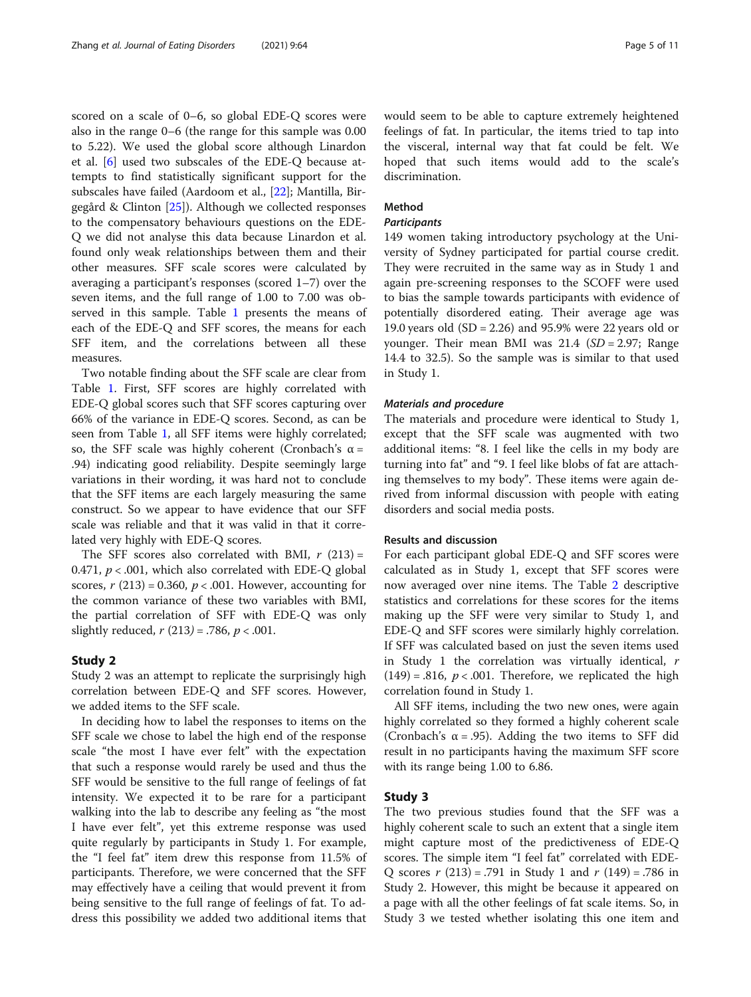scored on a scale of 0–6, so global EDE-Q scores were also in the range 0–6 (the range for this sample was 0.00 to 5.22). We used the global score although Linardon et al. [[6\]](#page-9-0) used two subscales of the EDE-Q because attempts to find statistically significant support for the subscales have failed (Aardoom et al., [\[22](#page-10-0)]; Mantilla, Birgegård & Clinton [\[25](#page-10-0)]). Although we collected responses to the compensatory behaviours questions on the EDE-Q we did not analyse this data because Linardon et al. found only weak relationships between them and their other measures. SFF scale scores were calculated by averaging a participant's responses (scored 1–7) over the seven items, and the full range of 1.00 to 7.00 was observed in this sample. Table [1](#page-3-0) presents the means of each of the EDE-Q and SFF scores, the means for each SFF item, and the correlations between all these measures.

Two notable finding about the SFF scale are clear from Table [1](#page-3-0). First, SFF scores are highly correlated with EDE-Q global scores such that SFF scores capturing over 66% of the variance in EDE-Q scores. Second, as can be seen from Table [1](#page-3-0), all SFF items were highly correlated; so, the SFF scale was highly coherent (Cronbach's  $\alpha$  = .94) indicating good reliability. Despite seemingly large variations in their wording, it was hard not to conclude that the SFF items are each largely measuring the same construct. So we appear to have evidence that our SFF scale was reliable and that it was valid in that it correlated very highly with EDE-Q scores.

The SFF scores also correlated with BMI,  $r(213) =$ 0.471,  $p < .001$ , which also correlated with EDE-Q global scores,  $r(213) = 0.360$ ,  $p < .001$ . However, accounting for the common variance of these two variables with BMI, the partial correlation of SFF with EDE-Q was only slightly reduced,  $r(213) = .786$ ,  $p < .001$ .

#### Study 2

Study 2 was an attempt to replicate the surprisingly high correlation between EDE-Q and SFF scores. However, we added items to the SFF scale.

In deciding how to label the responses to items on the SFF scale we chose to label the high end of the response scale "the most I have ever felt" with the expectation that such a response would rarely be used and thus the SFF would be sensitive to the full range of feelings of fat intensity. We expected it to be rare for a participant walking into the lab to describe any feeling as "the most I have ever felt", yet this extreme response was used quite regularly by participants in Study 1. For example, the "I feel fat" item drew this response from 11.5% of participants. Therefore, we were concerned that the SFF may effectively have a ceiling that would prevent it from being sensitive to the full range of feelings of fat. To address this possibility we added two additional items that would seem to be able to capture extremely heightened feelings of fat. In particular, the items tried to tap into the visceral, internal way that fat could be felt. We hoped that such items would add to the scale's discrimination.

## Method

## **Participants**

149 women taking introductory psychology at the University of Sydney participated for partial course credit. They were recruited in the same way as in Study 1 and again pre-screening responses to the SCOFF were used to bias the sample towards participants with evidence of potentially disordered eating. Their average age was 19.0 years old (SD = 2.26) and 95.9% were 22 years old or younger. Their mean BMI was  $21.4$  (SD = 2.97; Range 14.4 to 32.5). So the sample was is similar to that used in Study 1.

#### Materials and procedure

The materials and procedure were identical to Study 1, except that the SFF scale was augmented with two additional items: "8. I feel like the cells in my body are turning into fat" and "9. I feel like blobs of fat are attaching themselves to my body". These items were again derived from informal discussion with people with eating disorders and social media posts.

## Results and discussion

For each participant global EDE-Q and SFF scores were calculated as in Study 1, except that SFF scores were now averaged over nine items. The Table [2](#page-5-0) descriptive statistics and correlations for these scores for the items making up the SFF were very similar to Study 1, and EDE-Q and SFF scores were similarly highly correlation. If SFF was calculated based on just the seven items used in Study 1 the correlation was virtually identical, r  $(149) = .816$ ,  $p < .001$ . Therefore, we replicated the high correlation found in Study 1.

All SFF items, including the two new ones, were again highly correlated so they formed a highly coherent scale (Cronbach's  $\alpha$  = .95). Adding the two items to SFF did result in no participants having the maximum SFF score with its range being 1.00 to 6.86.

## Study 3

The two previous studies found that the SFF was a highly coherent scale to such an extent that a single item might capture most of the predictiveness of EDE-Q scores. The simple item "I feel fat" correlated with EDE-Q scores  $r(213) = .791$  in Study 1 and  $r(149) = .786$  in Study 2. However, this might be because it appeared on a page with all the other feelings of fat scale items. So, in Study 3 we tested whether isolating this one item and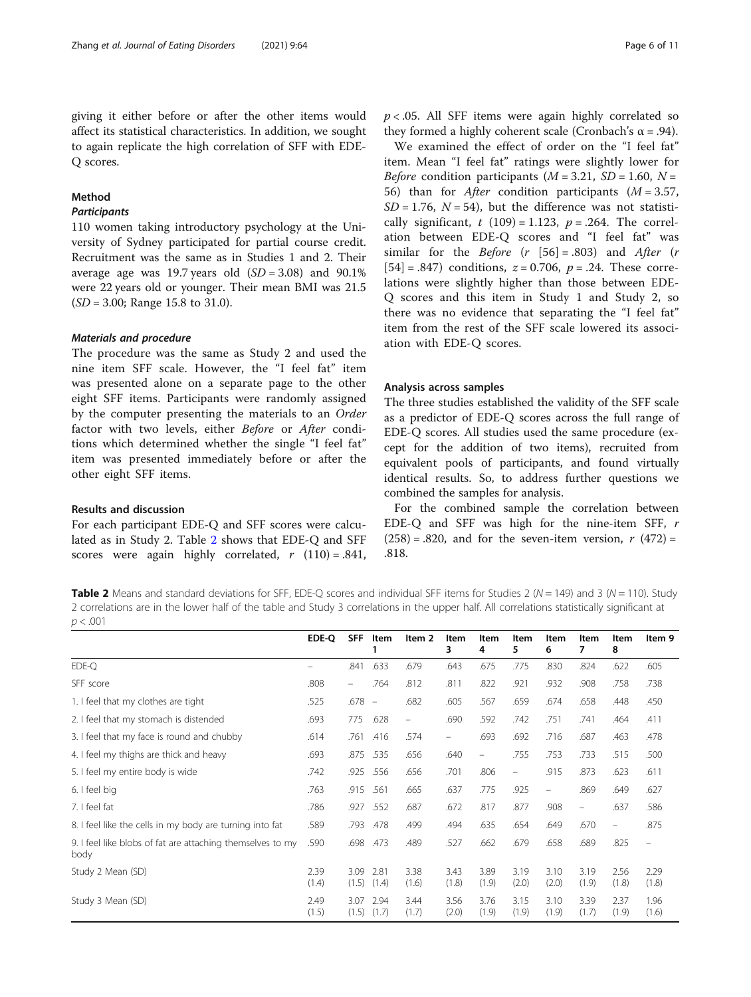<span id="page-5-0"></span>giving it either before or after the other items would affect its statistical characteristics. In addition, we sought to again replicate the high correlation of SFF with EDE-Q scores.

## Method

## **Participants**

110 women taking introductory psychology at the University of Sydney participated for partial course credit. Recruitment was the same as in Studies 1 and 2. Their average age was 19.7 years old  $(SD = 3.08)$  and 90.1% were 22 years old or younger. Their mean BMI was 21.5  $(SD = 3.00;$  Range 15.8 to 31.0).

#### Materials and procedure

The procedure was the same as Study 2 and used the nine item SFF scale. However, the "I feel fat" item was presented alone on a separate page to the other eight SFF items. Participants were randomly assigned by the computer presenting the materials to an Order factor with two levels, either Before or After conditions which determined whether the single "I feel fat" item was presented immediately before or after the other eight SFF items.

#### Results and discussion

For each participant EDE-Q and SFF scores were calculated as in Study 2. Table 2 shows that EDE-Q and SFF scores were again highly correlated,  $r(110) = .841$ ,  $p < .05$ . All SFF items were again highly correlated so they formed a highly coherent scale (Cronbach's  $\alpha$  = .94).

We examined the effect of order on the "I feel fat" item. Mean "I feel fat" ratings were slightly lower for *Before* condition participants ( $M = 3.21$ ,  $SD = 1.60$ ,  $N =$ 56) than for *After* condition participants  $(M = 3.57)$ ,  $SD = 1.76$ ,  $N = 54$ ), but the difference was not statistically significant, t  $(109) = 1.123$ ,  $p = .264$ . The correlation between EDE-Q scores and "I feel fat" was similar for the *Before*  $(r | 56] = .803)$  and *After*  $(r | 56] = .803$  $[54] = .847$ ) conditions,  $z = 0.706$ ,  $p = .24$ . These correlations were slightly higher than those between EDE-Q scores and this item in Study 1 and Study 2, so there was no evidence that separating the "I feel fat" item from the rest of the SFF scale lowered its association with EDE-Q scores.

#### Analysis across samples

The three studies established the validity of the SFF scale as a predictor of EDE-Q scores across the full range of EDE-Q scores. All studies used the same procedure (except for the addition of two items), recruited from equivalent pools of participants, and found virtually identical results. So, to address further questions we combined the samples for analysis.

For the combined sample the correlation between EDE-Q and SFF was high for the nine-item SFF, r  $(258) = .820$ , and for the seven-item version,  $r(472) =$ .818.

**Table 2** Means and standard deviations for SFF, EDE-Q scores and individual SFF items for Studies 2 ( $N = 149$ ) and 3 ( $N = 110$ ). Study 2 correlations are in the lower half of the table and Study 3 correlations in the upper half. All correlations statistically significant at  $p < .001$ 

|                                                                    | EDE-Q         | <b>SFF</b>                     | Item                     | Item 2        | Item<br>3                | Item<br>4                | Item<br>5                | Item<br>6                      | Item<br>7                | Item<br>8     | Item 9                   |
|--------------------------------------------------------------------|---------------|--------------------------------|--------------------------|---------------|--------------------------|--------------------------|--------------------------|--------------------------------|--------------------------|---------------|--------------------------|
| EDE-O                                                              |               | .841                           | .633                     | .679          | .643                     | .675                     | .775                     | .830                           | .824                     | .622          | .605                     |
| SFF score                                                          | .808          | $\qquad \qquad \longleftarrow$ | .764                     | .812          | .811                     | .822                     | .921                     | .932                           | .908                     | .758          | .738                     |
| 1. I feel that my clothes are tight                                | .525          | .678                           | $\overline{\phantom{a}}$ | .682          | .605                     | .567                     | .659                     | .674                           | .658                     | .448          | .450                     |
| 2. I feel that my stomach is distended                             | .693          | 775                            | .628                     | -             | .690                     | .592                     | .742                     | .751                           | .741                     | .464          | .411                     |
| 3. I feel that my face is round and chubby                         | .614          | .761                           | .416                     | .574          | $\overline{\phantom{m}}$ | .693                     | .692                     | .716                           | .687                     | .463          | .478                     |
| 4. I feel my thighs are thick and heavy                            | .693          | .875                           | .535                     | .656          | .640                     | $\overline{\phantom{m}}$ | .755                     | .753                           | .733                     | .515          | .500                     |
| 5. I feel my entire body is wide                                   | .742          | .925                           | .556                     | .656          | .701                     | .806                     | $\overline{\phantom{a}}$ | .915                           | .873                     | .623          | .611                     |
| 6. I feel big                                                      | .763          | .915                           | .561                     | .665          | .637                     | .775                     | .925                     | $\qquad \qquad \longleftarrow$ | .869                     | .649          | .627                     |
| 7. I feel fat                                                      | .786          | .927                           | .552                     | .687          | .672                     | .817                     | .877                     | .908                           | $\overline{\phantom{m}}$ | .637          | .586                     |
| 8. I feel like the cells in my body are turning into fat           | .589          | .793                           | .478                     | .499          | .494                     | .635                     | .654                     | .649                           | .670                     | -             | .875                     |
| 9. I feel like blobs of fat are attaching themselves to my<br>body | .590          | .698                           | .473                     | .489          | .527                     | .662                     | .679                     | .658                           | .689                     | .825          | $\overline{\phantom{0}}$ |
| Study 2 Mean (SD)                                                  | 2.39<br>(1.4) | 3.09<br>(1.5)                  | 2.81<br>(1.4)            | 3.38<br>(1.6) | 3.43<br>(1.8)            | 3.89<br>(1.9)            | 3.19<br>(2.0)            | 3.10<br>(2.0)                  | 3.19<br>(1.9)            | 2.56<br>(1.8) | 2.29<br>(1.8)            |
| Study 3 Mean (SD)                                                  | 2.49<br>(1.5) | 3.07<br>(1.5)                  | 2.94<br>(1.7)            | 3.44<br>(1.7) | 3.56<br>(2.0)            | 3.76<br>(1.9)            | 3.15<br>(1.9)            | 3.10<br>(1.9)                  | 3.39<br>(1.7)            | 2.37<br>(1.9) | 1.96<br>(1.6)            |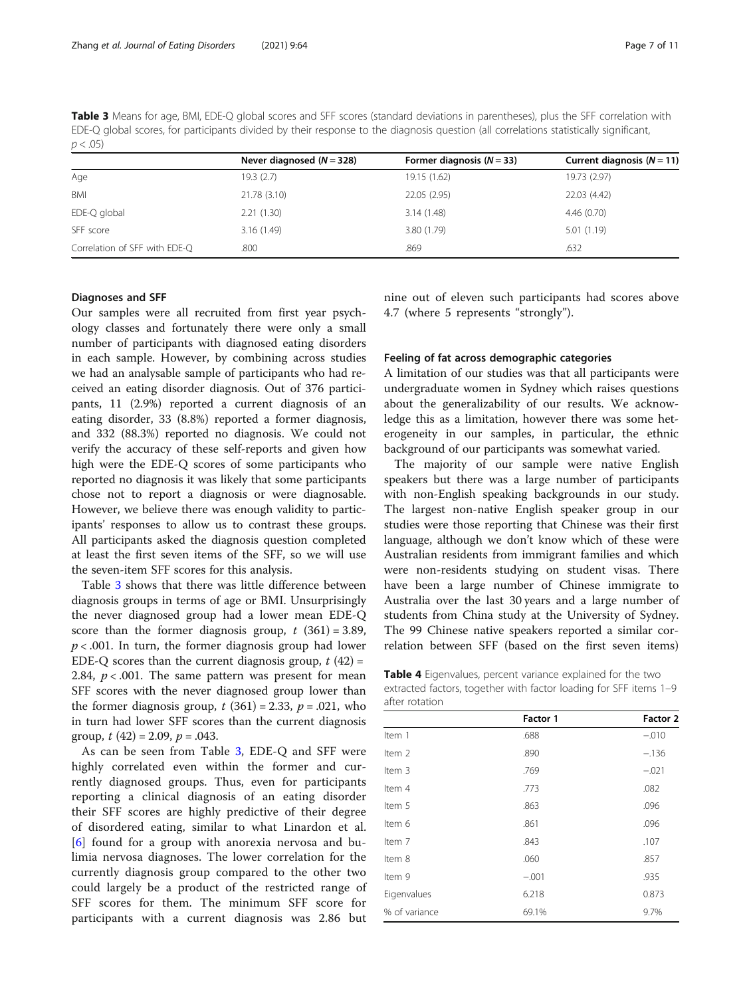<span id="page-6-0"></span>Table 3 Means for age, BMI, EDE-Q global scores and SFF scores (standard deviations in parentheses), plus the SFF correlation with EDE-Q global scores, for participants divided by their response to the diagnosis question (all correlations statistically significant,  $p < .05$ )

|                               | Never diagnosed $(N = 328)$ | Former diagnosis $(N = 33)$ | Current diagnosis $(N = 11)$ |
|-------------------------------|-----------------------------|-----------------------------|------------------------------|
| Age                           | 19.3(2.7)                   | 19.15 (1.62)                | 19.73 (2.97)                 |
| BMI                           | 21.78 (3.10)                | 22.05 (2.95)                | 22.03 (4.42)                 |
| EDE-Q global                  | 2.21(1.30)                  | 3.14(1.48)                  | 4.46(0.70)                   |
| SFF score                     | 3.16(1.49)                  | 3.80 (1.79)                 | 5.01(1.19)                   |
| Correlation of SFF with EDE-Q | .800                        | .869                        | .632                         |

## Diagnoses and SFF

Our samples were all recruited from first year psychology classes and fortunately there were only a small number of participants with diagnosed eating disorders in each sample. However, by combining across studies we had an analysable sample of participants who had received an eating disorder diagnosis. Out of 376 participants, 11 (2.9%) reported a current diagnosis of an eating disorder, 33 (8.8%) reported a former diagnosis, and 332 (88.3%) reported no diagnosis. We could not verify the accuracy of these self-reports and given how high were the EDE-Q scores of some participants who reported no diagnosis it was likely that some participants chose not to report a diagnosis or were diagnosable. However, we believe there was enough validity to participants' responses to allow us to contrast these groups. All participants asked the diagnosis question completed at least the first seven items of the SFF, so we will use the seven-item SFF scores for this analysis.

Table 3 shows that there was little difference between diagnosis groups in terms of age or BMI. Unsurprisingly the never diagnosed group had a lower mean EDE-Q score than the former diagnosis group,  $t$  (361) = 3.89,  $p < .001$ . In turn, the former diagnosis group had lower EDE-Q scores than the current diagnosis group,  $t(42)$  = 2.84,  $p < .001$ . The same pattern was present for mean SFF scores with the never diagnosed group lower than the former diagnosis group,  $t(361) = 2.33$ ,  $p = .021$ , who in turn had lower SFF scores than the current diagnosis group,  $t(42) = 2.09$ ,  $p = .043$ .

As can be seen from Table 3, EDE-Q and SFF were highly correlated even within the former and currently diagnosed groups. Thus, even for participants reporting a clinical diagnosis of an eating disorder their SFF scores are highly predictive of their degree of disordered eating, similar to what Linardon et al. [[6\]](#page-9-0) found for a group with anorexia nervosa and bulimia nervosa diagnoses. The lower correlation for the currently diagnosis group compared to the other two could largely be a product of the restricted range of SFF scores for them. The minimum SFF score for participants with a current diagnosis was 2.86 but nine out of eleven such participants had scores above 4.7 (where 5 represents "strongly").

## Feeling of fat across demographic categories

A limitation of our studies was that all participants were undergraduate women in Sydney which raises questions about the generalizability of our results. We acknowledge this as a limitation, however there was some heterogeneity in our samples, in particular, the ethnic background of our participants was somewhat varied.

The majority of our sample were native English speakers but there was a large number of participants with non-English speaking backgrounds in our study. The largest non-native English speaker group in our studies were those reporting that Chinese was their first language, although we don't know which of these were Australian residents from immigrant families and which were non-residents studying on student visas. There have been a large number of Chinese immigrate to Australia over the last 30 years and a large number of students from China study at the University of Sydney. The 99 Chinese native speakers reported a similar correlation between SFF (based on the first seven items)

Table 4 Eigenvalues, percent variance explained for the two extracted factors, together with factor loading for SFF items 1–9 after rotation

|                   | Factor 1 | Factor 2 |
|-------------------|----------|----------|
| Item 1            | .688     | $-.010$  |
| Item <sub>2</sub> | .890     | $-.136$  |
| Item 3            | .769     | $-.021$  |
| Item 4            | .773     | .082     |
| Item 5            | .863     | .096     |
| Item 6            | .861     | .096     |
| Item 7            | .843     | .107     |
| Item 8            | .060     | .857     |
| Item 9            | $-.001$  | .935     |
| Eigenvalues       | 6.218    | 0.873    |
| % of variance     | 69.1%    | 9.7%     |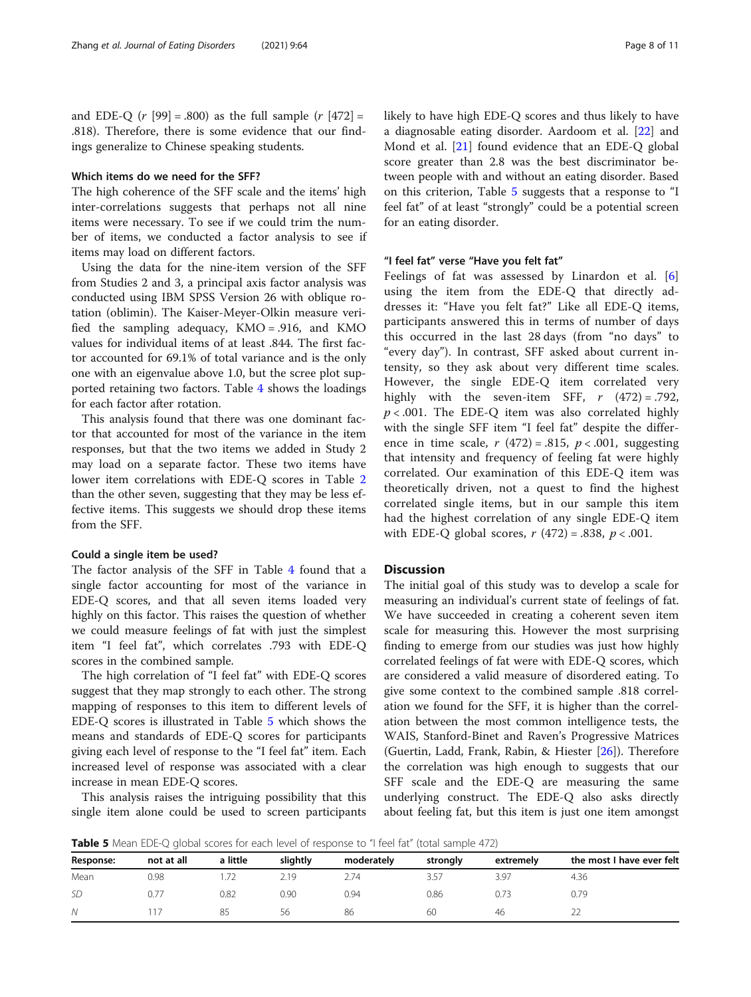and EDE-Q ( $r$  [99] = .800) as the full sample ( $r$  [472] = .818). Therefore, there is some evidence that our findings generalize to Chinese speaking students.

## Which items do we need for the SFF?

The high coherence of the SFF scale and the items' high inter-correlations suggests that perhaps not all nine items were necessary. To see if we could trim the number of items, we conducted a factor analysis to see if items may load on different factors.

Using the data for the nine-item version of the SFF from Studies 2 and 3, a principal axis factor analysis was conducted using IBM SPSS Version 26 with oblique rotation (oblimin). The Kaiser-Meyer-Olkin measure verified the sampling adequacy, KMO = .916, and KMO values for individual items of at least .844. The first factor accounted for 69.1% of total variance and is the only one with an eigenvalue above 1.0, but the scree plot supported retaining two factors. Table [4](#page-6-0) shows the loadings for each factor after rotation.

This analysis found that there was one dominant factor that accounted for most of the variance in the item responses, but that the two items we added in Study 2 may load on a separate factor. These two items have lower item correlations with EDE-Q scores in Table [2](#page-5-0) than the other seven, suggesting that they may be less effective items. This suggests we should drop these items from the SFF.

## Could a single item be used?

The factor analysis of the SFF in Table [4](#page-6-0) found that a single factor accounting for most of the variance in EDE-Q scores, and that all seven items loaded very highly on this factor. This raises the question of whether we could measure feelings of fat with just the simplest item "I feel fat", which correlates .793 with EDE-Q scores in the combined sample.

The high correlation of "I feel fat" with EDE-Q scores suggest that they map strongly to each other. The strong mapping of responses to this item to different levels of EDE-Q scores is illustrated in Table 5 which shows the means and standards of EDE-Q scores for participants giving each level of response to the "I feel fat" item. Each increased level of response was associated with a clear increase in mean EDE-Q scores.

This analysis raises the intriguing possibility that this single item alone could be used to screen participants likely to have high EDE-Q scores and thus likely to have a diagnosable eating disorder. Aardoom et al. [\[22](#page-10-0)] and Mond et al. [[21\]](#page-10-0) found evidence that an EDE-Q global score greater than 2.8 was the best discriminator between people with and without an eating disorder. Based on this criterion, Table 5 suggests that a response to "I feel fat" of at least "strongly" could be a potential screen for an eating disorder.

## "I feel fat" verse "Have you felt fat"

Feelings of fat was assessed by Linardon et al. [\[6](#page-9-0)] using the item from the EDE-Q that directly addresses it: "Have you felt fat?" Like all EDE-Q items, participants answered this in terms of number of days this occurred in the last 28 days (from "no days" to "every day"). In contrast, SFF asked about current intensity, so they ask about very different time scales. However, the single EDE-Q item correlated very highly with the seven-item SFF,  $r$  (472) = .792,  $p < .001$ . The EDE-Q item was also correlated highly with the single SFF item "I feel fat" despite the difference in time scale,  $r(472) = .815$ ,  $p < .001$ , suggesting that intensity and frequency of feeling fat were highly correlated. Our examination of this EDE-Q item was theoretically driven, not a quest to find the highest correlated single items, but in our sample this item had the highest correlation of any single EDE-Q item with EDE-Q global scores,  $r(472) = .838$ ,  $p < .001$ .

## **Discussion**

The initial goal of this study was to develop a scale for measuring an individual's current state of feelings of fat. We have succeeded in creating a coherent seven item scale for measuring this. However the most surprising finding to emerge from our studies was just how highly correlated feelings of fat were with EDE-Q scores, which are considered a valid measure of disordered eating. To give some context to the combined sample .818 correlation we found for the SFF, it is higher than the correlation between the most common intelligence tests, the WAIS, Stanford-Binet and Raven's Progressive Matrices (Guertin, Ladd, Frank, Rabin, & Hiester [\[26](#page-10-0)]). Therefore the correlation was high enough to suggests that our SFF scale and the EDE-Q are measuring the same underlying construct. The EDE-Q also asks directly about feeling fat, but this item is just one item amongst

**Table 5** Mean EDE-Q global scores for each level of response to "I feel fat" (total sample 472)

| Response: | not at all | a little | slightly | moderately | strongly | extremely | the most I have ever felt |  |  |
|-----------|------------|----------|----------|------------|----------|-----------|---------------------------|--|--|
| Mean      | 0.98       |          | 2.19     | 2.74       | 3.57     | 3.97      | 4.36                      |  |  |
| <b>SD</b> | 0.77       | 0.82     | 0.90     | 0.94       | 0.86     |           | 0.79                      |  |  |
| N         |            |          | 56       | 86         | 60       | 46        |                           |  |  |
|           |            |          |          |            |          |           |                           |  |  |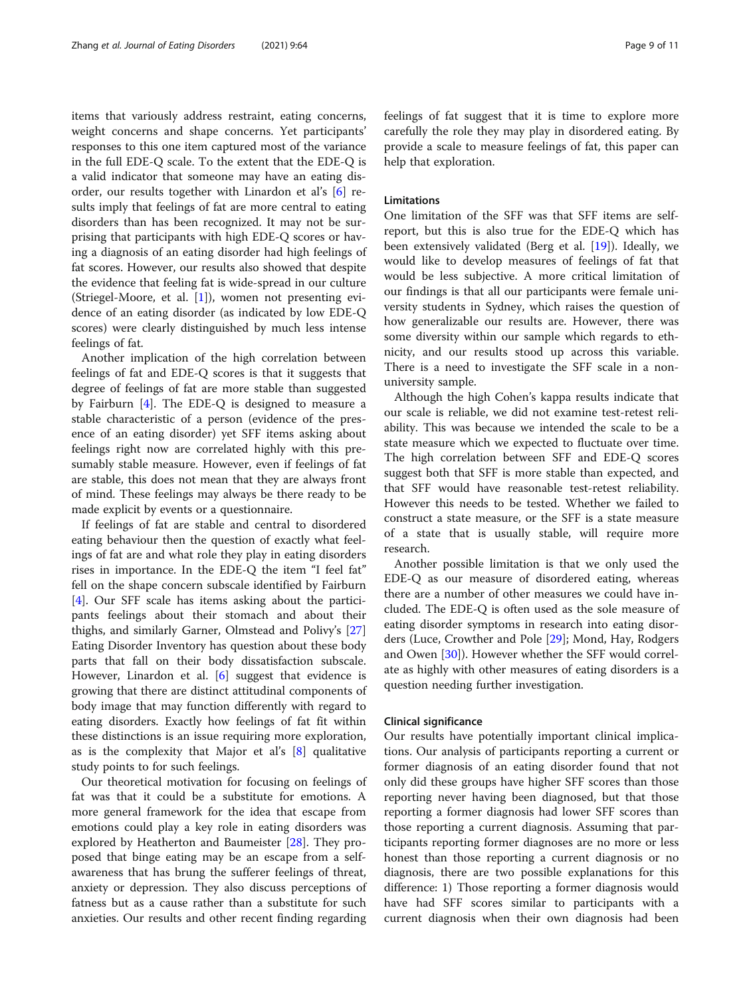items that variously address restraint, eating concerns, weight concerns and shape concerns. Yet participants' responses to this one item captured most of the variance in the full EDE-Q scale. To the extent that the EDE-Q is a valid indicator that someone may have an eating disorder, our results together with Linardon et al's [[6\]](#page-9-0) results imply that feelings of fat are more central to eating disorders than has been recognized. It may not be surprising that participants with high EDE-Q scores or having a diagnosis of an eating disorder had high feelings of fat scores. However, our results also showed that despite the evidence that feeling fat is wide-spread in our culture (Striegel-Moore, et al. [\[1](#page-9-0)]), women not presenting evidence of an eating disorder (as indicated by low EDE-Q scores) were clearly distinguished by much less intense feelings of fat.

Another implication of the high correlation between feelings of fat and EDE-Q scores is that it suggests that degree of feelings of fat are more stable than suggested by Fairburn [[4\]](#page-9-0). The EDE-Q is designed to measure a stable characteristic of a person (evidence of the presence of an eating disorder) yet SFF items asking about feelings right now are correlated highly with this presumably stable measure. However, even if feelings of fat are stable, this does not mean that they are always front of mind. These feelings may always be there ready to be made explicit by events or a questionnaire.

If feelings of fat are stable and central to disordered eating behaviour then the question of exactly what feelings of fat are and what role they play in eating disorders rises in importance. In the EDE-Q the item "I feel fat" fell on the shape concern subscale identified by Fairburn [[4\]](#page-9-0). Our SFF scale has items asking about the participants feelings about their stomach and about their thighs, and similarly Garner, Olmstead and Polivy's [[27](#page-10-0)] Eating Disorder Inventory has question about these body parts that fall on their body dissatisfaction subscale. However, Linardon et al. [[6\]](#page-9-0) suggest that evidence is growing that there are distinct attitudinal components of body image that may function differently with regard to eating disorders. Exactly how feelings of fat fit within these distinctions is an issue requiring more exploration, as is the complexity that Major et al's [[8\]](#page-9-0) qualitative study points to for such feelings.

Our theoretical motivation for focusing on feelings of fat was that it could be a substitute for emotions. A more general framework for the idea that escape from emotions could play a key role in eating disorders was explored by Heatherton and Baumeister [[28\]](#page-10-0). They proposed that binge eating may be an escape from a selfawareness that has brung the sufferer feelings of threat, anxiety or depression. They also discuss perceptions of fatness but as a cause rather than a substitute for such anxieties. Our results and other recent finding regarding feelings of fat suggest that it is time to explore more carefully the role they may play in disordered eating. By provide a scale to measure feelings of fat, this paper can help that exploration.

## Limitations

One limitation of the SFF was that SFF items are selfreport, but this is also true for the EDE-Q which has been extensively validated (Berg et al. [[19](#page-10-0)]). Ideally, we would like to develop measures of feelings of fat that would be less subjective. A more critical limitation of our findings is that all our participants were female university students in Sydney, which raises the question of how generalizable our results are. However, there was some diversity within our sample which regards to ethnicity, and our results stood up across this variable. There is a need to investigate the SFF scale in a nonuniversity sample.

Although the high Cohen's kappa results indicate that our scale is reliable, we did not examine test-retest reliability. This was because we intended the scale to be a state measure which we expected to fluctuate over time. The high correlation between SFF and EDE-Q scores suggest both that SFF is more stable than expected, and that SFF would have reasonable test-retest reliability. However this needs to be tested. Whether we failed to construct a state measure, or the SFF is a state measure of a state that is usually stable, will require more research.

Another possible limitation is that we only used the EDE-Q as our measure of disordered eating, whereas there are a number of other measures we could have included. The EDE-Q is often used as the sole measure of eating disorder symptoms in research into eating disorders (Luce, Crowther and Pole [\[29\]](#page-10-0); Mond, Hay, Rodgers and Owen [[30\]](#page-10-0)). However whether the SFF would correlate as highly with other measures of eating disorders is a question needing further investigation.

## Clinical significance

Our results have potentially important clinical implications. Our analysis of participants reporting a current or former diagnosis of an eating disorder found that not only did these groups have higher SFF scores than those reporting never having been diagnosed, but that those reporting a former diagnosis had lower SFF scores than those reporting a current diagnosis. Assuming that participants reporting former diagnoses are no more or less honest than those reporting a current diagnosis or no diagnosis, there are two possible explanations for this difference: 1) Those reporting a former diagnosis would have had SFF scores similar to participants with a current diagnosis when their own diagnosis had been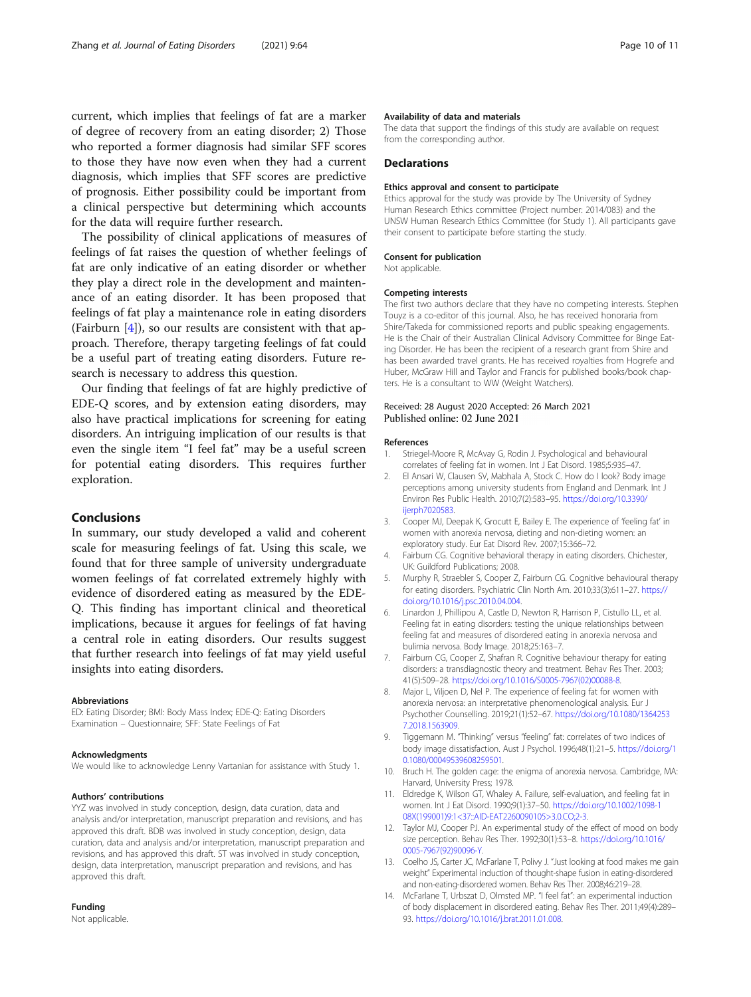<span id="page-9-0"></span>current, which implies that feelings of fat are a marker of degree of recovery from an eating disorder; 2) Those who reported a former diagnosis had similar SFF scores to those they have now even when they had a current diagnosis, which implies that SFF scores are predictive of prognosis. Either possibility could be important from a clinical perspective but determining which accounts for the data will require further research.

The possibility of clinical applications of measures of feelings of fat raises the question of whether feelings of fat are only indicative of an eating disorder or whether they play a direct role in the development and maintenance of an eating disorder. It has been proposed that feelings of fat play a maintenance role in eating disorders (Fairburn  $[4]$ ), so our results are consistent with that approach. Therefore, therapy targeting feelings of fat could be a useful part of treating eating disorders. Future research is necessary to address this question.

Our finding that feelings of fat are highly predictive of EDE-Q scores, and by extension eating disorders, may also have practical implications for screening for eating disorders. An intriguing implication of our results is that even the single item "I feel fat" may be a useful screen for potential eating disorders. This requires further exploration.

## Conclusions

In summary, our study developed a valid and coherent scale for measuring feelings of fat. Using this scale, we found that for three sample of university undergraduate women feelings of fat correlated extremely highly with evidence of disordered eating as measured by the EDE-Q. This finding has important clinical and theoretical implications, because it argues for feelings of fat having a central role in eating disorders. Our results suggest that further research into feelings of fat may yield useful insights into eating disorders.

#### Abbreviations

ED: Eating Disorder; BMI: Body Mass Index; EDE-Q: Eating Disorders Examination – Questionnaire; SFF: State Feelings of Fat

## Acknowledgments

We would like to acknowledge Lenny Vartanian for assistance with Study 1.

#### Authors' contributions

YYZ was involved in study conception, design, data curation, data and analysis and/or interpretation, manuscript preparation and revisions, and has approved this draft. BDB was involved in study conception, design, data curation, data and analysis and/or interpretation, manuscript preparation and revisions, and has approved this draft. ST was involved in study conception, design, data interpretation, manuscript preparation and revisions, and has approved this draft.

## Funding

Not applicable.

#### Availability of data and materials

The data that support the findings of this study are available on request from the corresponding author.

## **Declarations**

#### Ethics approval and consent to participate

Ethics approval for the study was provide by The University of Sydney Human Research Ethics committee (Project number: 2014/083) and the UNSW Human Research Ethics Committee (for Study 1). All participants gave their consent to participate before starting the study.

#### Consent for publication

Not applicable.

#### Competing interests

The first two authors declare that they have no competing interests. Stephen Touyz is a co-editor of this journal. Also, he has received honoraria from Shire/Takeda for commissioned reports and public speaking engagements. He is the Chair of their Australian Clinical Advisory Committee for Binge Eating Disorder. He has been the recipient of a research grant from Shire and has been awarded travel grants. He has received royalties from Hogrefe and Huber, McGraw Hill and Taylor and Francis for published books/book chapters. He is a consultant to WW (Weight Watchers).

## Received: 28 August 2020 Accepted: 26 March 2021 Published online: 02 June 2021

#### References

- 1. Striegel-Moore R, McAvay G, Rodin J. Psychological and behavioural correlates of feeling fat in women. Int J Eat Disord. 1985;5:935–47.
- 2. El Ansari W, Clausen SV, Mabhala A, Stock C. How do I look? Body image perceptions among university students from England and Denmark. Int J Environ Res Public Health. 2010;7(2):583–95. [https://doi.org/10.3390/](https://doi.org/10.3390/ijerph7020583) [ijerph7020583.](https://doi.org/10.3390/ijerph7020583)
- 3. Cooper MJ, Deepak K, Grocutt E, Bailey E. The experience of 'feeling fat' in women with anorexia nervosa, dieting and non-dieting women: an exploratory study. Eur Eat Disord Rev. 2007;15:366–72.
- 4. Fairburn CG. Cognitive behavioral therapy in eating disorders. Chichester, UK: Guildford Publications; 2008.
- 5. Murphy R, Straebler S, Cooper Z, Fairburn CG. Cognitive behavioural therapy for eating disorders. Psychiatric Clin North Am. 2010;33(3):611–27. [https://](https://doi.org/10.1016/j.psc.2010.04.004) [doi.org/10.1016/j.psc.2010.04.004.](https://doi.org/10.1016/j.psc.2010.04.004)
- 6. Linardon J, Phillipou A, Castle D, Newton R, Harrison P, Cistullo LL, et al. Feeling fat in eating disorders: testing the unique relationships between feeling fat and measures of disordered eating in anorexia nervosa and bulimia nervosa. Body Image. 2018;25:163–7.
- 7. Fairburn CG, Cooper Z, Shafran R. Cognitive behaviour therapy for eating disorders: a transdiagnostic theory and treatment. Behav Res Ther. 2003; 41(5):509–28. [https://doi.org/10.1016/S0005-7967\(02\)00088-8.](https://doi.org/10.1016/S0005-7967(02)00088-8)
- 8. Major L, Viljoen D, Nel P. The experience of feeling fat for women with anorexia nervosa: an interpretative phenomenological analysis. Eur J Psychother Counselling. 2019;21(1):52–67. [https://doi.org/10.1080/1364253](https://doi.org/10.1080/13642537.2018.1563909) [7.2018.1563909](https://doi.org/10.1080/13642537.2018.1563909).
- Tiggemann M. "Thinking" versus "feeling" fat: correlates of two indices of body image dissatisfaction. Aust J Psychol. 1996;48(1):21–5. [https://doi.org/1](https://doi.org/10.1080/00049539608259501) [0.1080/00049539608259501](https://doi.org/10.1080/00049539608259501).
- 10. Bruch H. The golden cage: the enigma of anorexia nervosa. Cambridge, MA: Harvard, University Press; 1978.
- 11. Eldredge K, Wilson GT, Whaley A. Failure, self-evaluation, and feeling fat in women. Int J Eat Disord. 1990;9(1):37–50. [https://doi.org/10.1002/1098-1](https://doi.org/10.1002/1098-108X(199001)9:1<37::AID-EAT2260090105>3.0.CO;2-3) [08X\(199001\)9:1<37::AID-EAT2260090105>3.0.CO;2-3](https://doi.org/10.1002/1098-108X(199001)9:1<37::AID-EAT2260090105>3.0.CO;2-3).
- 12. Taylor MJ, Cooper PJ. An experimental study of the effect of mood on body size perception. Behav Res Ther. 1992;30(1):53–8. [https://doi.org/10.1016/](https://doi.org/10.1016/0005-7967(92)90096-Y) [0005-7967\(92\)90096-Y](https://doi.org/10.1016/0005-7967(92)90096-Y).
- 13. Coelho JS, Carter JC, McFarlane T, Polivy J. "Just looking at food makes me gain weight" Experimental induction of thought-shape fusion in eating-disordered and non-eating-disordered women. Behav Res Ther. 2008;46:219–28.
- 14. McFarlane T, Urbszat D, Olmsted MP. "I feel fat": an experimental induction of body displacement in disordered eating. Behav Res Ther. 2011;49(4):289– 93. <https://doi.org/10.1016/j.brat.2011.01.008>.